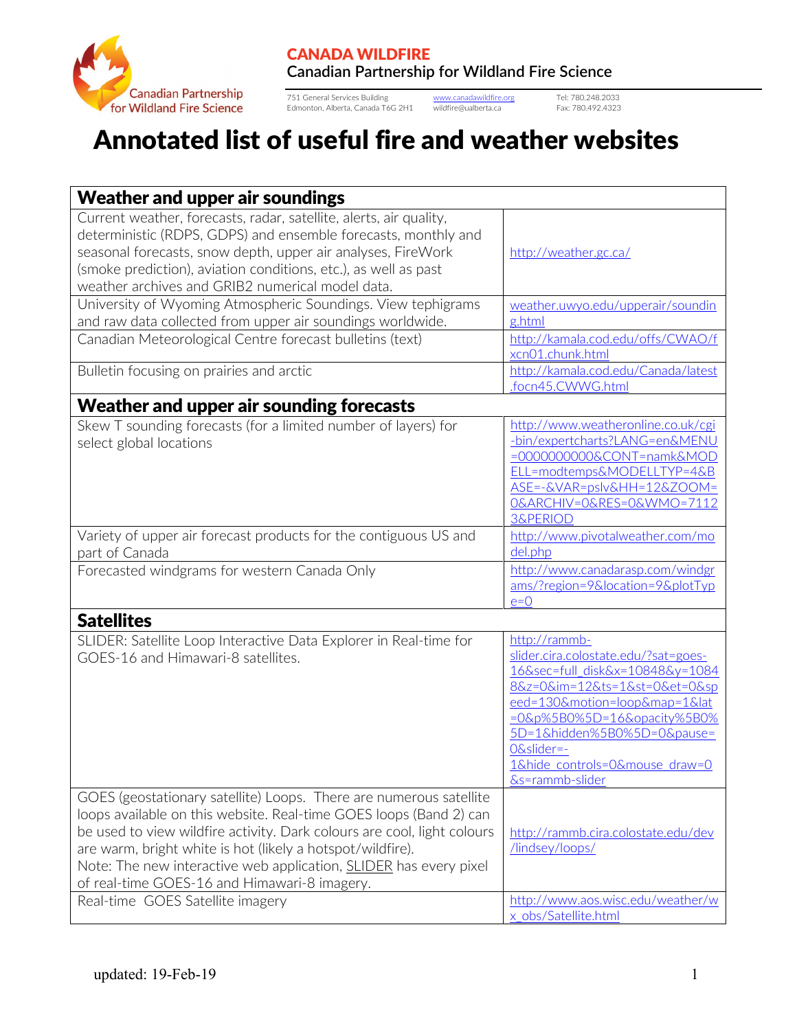

751 General Services Building [www.canadawildfire.org](http://www.canadawildfire.org/) Tel: 780.248.2033 Edmonton, Alberta, Canada T6G 2H1 wildfire@ualberta.ca Fax: 780.492.4323

## Annotated list of useful fire and weather websites

| <b>Weather and upper air soundings</b>                                                                                                                                                                                                                                                                                                                                                                        |                                                                                                                                                                                                                                                                                       |  |
|---------------------------------------------------------------------------------------------------------------------------------------------------------------------------------------------------------------------------------------------------------------------------------------------------------------------------------------------------------------------------------------------------------------|---------------------------------------------------------------------------------------------------------------------------------------------------------------------------------------------------------------------------------------------------------------------------------------|--|
| Current weather, forecasts, radar, satellite, alerts, air quality,<br>deterministic (RDPS, GDPS) and ensemble forecasts, monthly and<br>seasonal forecasts, snow depth, upper air analyses, FireWork<br>(smoke prediction), aviation conditions, etc.), as well as past<br>weather archives and GRIB2 numerical model data.                                                                                   | http://weather.gc.ca/                                                                                                                                                                                                                                                                 |  |
| University of Wyoming Atmospheric Soundings. View tephigrams<br>and raw data collected from upper air soundings worldwide.                                                                                                                                                                                                                                                                                    | weather.uwyo.edu/upperair/soundin<br>g.html                                                                                                                                                                                                                                           |  |
| Canadian Meteorological Centre forecast bulletins (text)                                                                                                                                                                                                                                                                                                                                                      | http://kamala.cod.edu/offs/CWAO/f<br>xcn01.chunk.html                                                                                                                                                                                                                                 |  |
| Bulletin focusing on prairies and arctic                                                                                                                                                                                                                                                                                                                                                                      | http://kamala.cod.edu/Canada/latest<br>.focn45.CWWG.html                                                                                                                                                                                                                              |  |
| Weather and upper air sounding forecasts                                                                                                                                                                                                                                                                                                                                                                      |                                                                                                                                                                                                                                                                                       |  |
| Skew T sounding forecasts (for a limited number of layers) for<br>select global locations                                                                                                                                                                                                                                                                                                                     | http://www.weatheronline.co.uk/cgi<br>-bin/expertcharts?LANG=en&MENU<br>=00000000000&CONT=namk&MOD<br>ELL=modtemps&MODELLTYP=4&B<br>ASE=-&VAR=pslv&HH=12&ZOOM=<br>O&ARCHIV=0&RES=0&WMO=7112<br><b>3&amp;PERIOD</b>                                                                    |  |
| Variety of upper air forecast products for the contiguous US and<br>part of Canada                                                                                                                                                                                                                                                                                                                            | http://www.pivotalweather.com/mo<br>del.php                                                                                                                                                                                                                                           |  |
| Forecasted windgrams for western Canada Only                                                                                                                                                                                                                                                                                                                                                                  | http://www.canadarasp.com/windgr<br>ams/?region=9&location=9&plotTyp<br>$e=0$                                                                                                                                                                                                         |  |
| <b>Satellites</b>                                                                                                                                                                                                                                                                                                                                                                                             |                                                                                                                                                                                                                                                                                       |  |
| SLIDER: Satellite Loop Interactive Data Explorer in Real-time for<br>GOES-16 and Himawari-8 satellites.                                                                                                                                                                                                                                                                                                       | http://rammb-<br>slider.cira.colostate.edu/?sat=goes-<br>16&sec=full_disk&x=10848&y=1084<br>8&z=0&im=12&ts=1&st=0&et=0&sp<br>eed=130&motion=loop↦=1⪫<br>=0&p%5B0%5D=16&opacity%5B0%<br>5D=1&hidden%5B0%5D=0&pause=<br>O&slider=-<br>1&hide controls=0&mouse draw=0<br>&s=rammb-slider |  |
| GOES (geostationary satellite) Loops. There are numerous satellite<br>loops available on this website. Real-time GOES loops (Band 2) can<br>be used to view wildfire activity. Dark colours are cool, light colours<br>are warm, bright white is hot (likely a hotspot/wildfire).<br>Note: The new interactive web application, <b>SLIDER</b> has every pixel<br>of real-time GOES-16 and Himawari-8 imagery. | http://rammb.cira.colostate.edu/dev<br>/lindsey/loops/                                                                                                                                                                                                                                |  |
| Real-time GOES Satellite imagery                                                                                                                                                                                                                                                                                                                                                                              | http://www.aos.wisc.edu/weather/w<br>x obs/Satellite.html                                                                                                                                                                                                                             |  |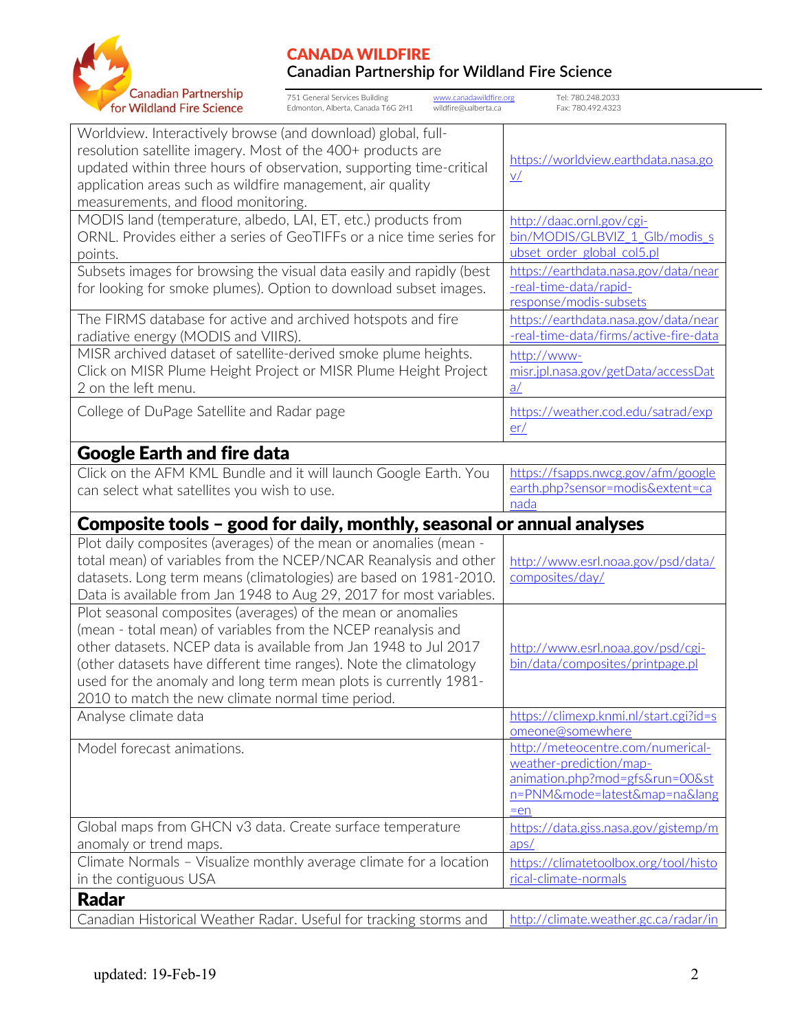

751 General Services Building [www.canadawildfire.org](http://www.canadawildfire.org/) Tel: 780.248.2033 Edmonton, Alberta, Canada T6G 2H1 wildfire@ualberta.ca Fax: 780.492.4323

| Worldview. Interactively browse (and download) global, full-<br>resolution satellite imagery. Most of the 400+ products are<br>updated within three hours of observation, supporting time-critical<br>application areas such as wildfire management, air quality<br>measurements, and flood monitoring.                                                                                         | https://worldview.earthdata.nasa.go<br>V/                                                                                                              |  |  |
|-------------------------------------------------------------------------------------------------------------------------------------------------------------------------------------------------------------------------------------------------------------------------------------------------------------------------------------------------------------------------------------------------|--------------------------------------------------------------------------------------------------------------------------------------------------------|--|--|
| MODIS land (temperature, albedo, LAI, ET, etc.) products from<br>ORNL. Provides either a series of GeoTIFFs or a nice time series for<br>points.                                                                                                                                                                                                                                                | http://daac.ornl.gov/cgi-<br>bin/MODIS/GLBVIZ 1 Glb/modis s<br>ubset order global col5.pl                                                              |  |  |
| Subsets images for browsing the visual data easily and rapidly (best<br>for looking for smoke plumes). Option to download subset images.                                                                                                                                                                                                                                                        | https://earthdata.nasa.gov/data/near<br>-real-time-data/rapid-<br>response/modis-subsets                                                               |  |  |
| The FIRMS database for active and archived hotspots and fire<br>radiative energy (MODIS and VIIRS).                                                                                                                                                                                                                                                                                             | https://earthdata.nasa.gov/data/near<br>-real-time-data/firms/active-fire-data                                                                         |  |  |
| MISR archived dataset of satellite-derived smoke plume heights.<br>Click on MISR Plume Height Project or MISR Plume Height Project<br>2 on the left menu.                                                                                                                                                                                                                                       | http://www-<br>misr.jpl.nasa.gov/getData/accessDat<br>$\underline{a}/$                                                                                 |  |  |
| College of DuPage Satellite and Radar page                                                                                                                                                                                                                                                                                                                                                      | https://weather.cod.edu/satrad/exp<br>er/                                                                                                              |  |  |
| <b>Google Earth and fire data</b>                                                                                                                                                                                                                                                                                                                                                               |                                                                                                                                                        |  |  |
| Click on the AFM KML Bundle and it will launch Google Earth. You<br>can select what satellites you wish to use.                                                                                                                                                                                                                                                                                 | https://fsapps.nwcg.gov/afm/google<br>earth.php?sensor=modis&extent=ca<br>nada                                                                         |  |  |
| Composite tools – good for daily, monthly, seasonal or annual analyses                                                                                                                                                                                                                                                                                                                          |                                                                                                                                                        |  |  |
|                                                                                                                                                                                                                                                                                                                                                                                                 |                                                                                                                                                        |  |  |
| Plot daily composites (averages) of the mean or anomalies (mean -<br>total mean) of variables from the NCEP/NCAR Reanalysis and other<br>datasets. Long term means (climatologies) are based on 1981-2010.<br>Data is available from Jan 1948 to Aug 29, 2017 for most variables.                                                                                                               | http://www.esrl.noaa.gov/psd/data/<br>composites/day/                                                                                                  |  |  |
| Plot seasonal composites (averages) of the mean or anomalies<br>(mean - total mean) of variables from the NCEP reanalysis and<br>other datasets. NCEP data is available from Jan 1948 to Jul 2017<br>(other datasets have different time ranges). Note the climatology<br>used for the anomaly and long term mean plots is currently 1981-<br>2010 to match the new climate normal time period. | http://www.esrl.noaa.gov/psd/cgi-<br>bin/data/composites/printpage.pl                                                                                  |  |  |
| Analyse climate data                                                                                                                                                                                                                                                                                                                                                                            | https://climexp.knmi.nl/start.cgi?id=s                                                                                                                 |  |  |
| Model forecast animations.                                                                                                                                                                                                                                                                                                                                                                      | omeone@somewhere<br>http://meteocentre.com/numerical-<br>weather-prediction/map-<br>animation.php?mod=gfs&run=00&st<br>n=PNM&mode=latest↦=na⟨<br>$=en$ |  |  |
| Global maps from GHCN v3 data. Create surface temperature                                                                                                                                                                                                                                                                                                                                       | https://data.giss.nasa.gov/gistemp/m                                                                                                                   |  |  |
| anomaly or trend maps.<br>Climate Normals - Visualize monthly average climate for a location<br>in the contiguous USA                                                                                                                                                                                                                                                                           | aps/<br>https://climatetoolbox.org/tool/histo<br>rical-climate-normals                                                                                 |  |  |
| <b>Radar</b>                                                                                                                                                                                                                                                                                                                                                                                    |                                                                                                                                                        |  |  |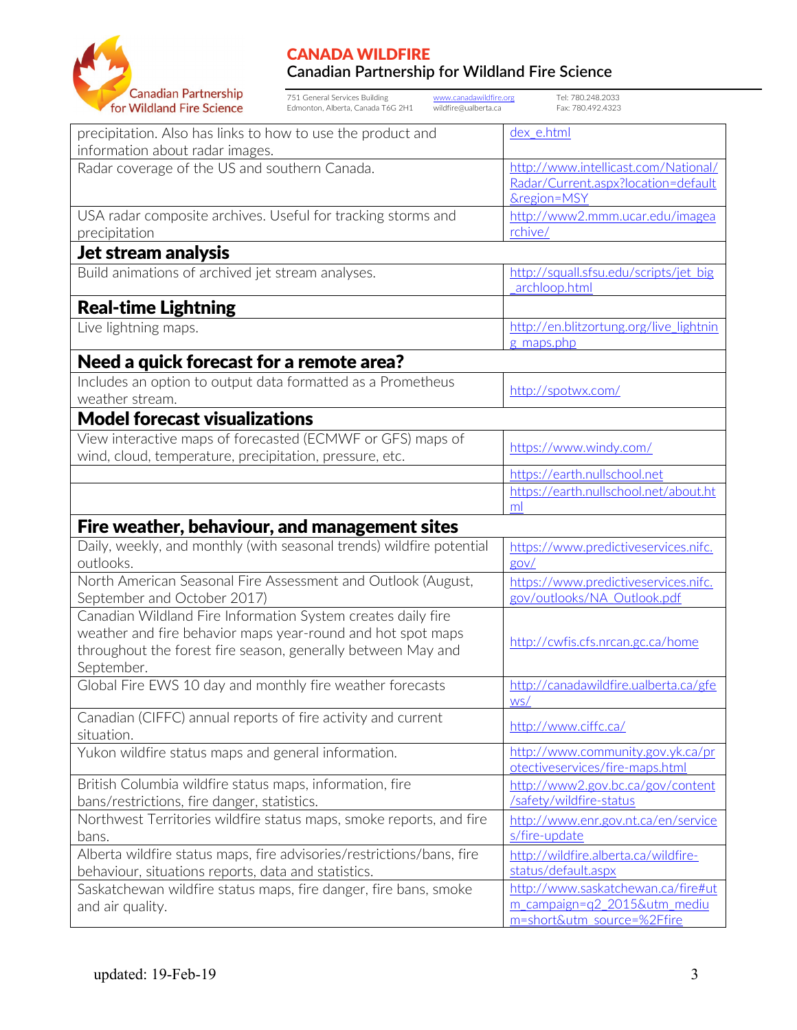

| <b>Canadian Partnership</b><br>for Wildland Fire Science                                                                                                                                                  | 751 General Services Building<br>www.canadawildfire.org<br>Edmonton, Alberta, Canada T6G 2H1<br>wildfire@ualberta.ca | Tel: 780.248.2033<br>Fax: 780.492.4323                                                           |  |  |
|-----------------------------------------------------------------------------------------------------------------------------------------------------------------------------------------------------------|----------------------------------------------------------------------------------------------------------------------|--------------------------------------------------------------------------------------------------|--|--|
| precipitation. Also has links to how to use the product and<br>dex e.html<br>information about radar images.                                                                                              |                                                                                                                      |                                                                                                  |  |  |
| Radar coverage of the US and southern Canada.                                                                                                                                                             |                                                                                                                      | http://www.intellicast.com/National/<br>Radar/Current.aspx?location=default<br>&region=MSY       |  |  |
| USA radar composite archives. Useful for tracking storms and<br>precipitation                                                                                                                             |                                                                                                                      | http://www2.mmm.ucar.edu/imagea<br>rchive/                                                       |  |  |
| Jet stream analysis                                                                                                                                                                                       |                                                                                                                      |                                                                                                  |  |  |
| Build animations of archived jet stream analyses.                                                                                                                                                         |                                                                                                                      | http://squall.sfsu.edu/scripts/jet big<br>archloop.html                                          |  |  |
| <b>Real-time Lightning</b>                                                                                                                                                                                |                                                                                                                      |                                                                                                  |  |  |
| Live lightning maps.                                                                                                                                                                                      |                                                                                                                      | http://en.blitzortung.org/live_lightnin<br>g maps.php                                            |  |  |
| Need a quick forecast for a remote area?                                                                                                                                                                  |                                                                                                                      |                                                                                                  |  |  |
| Includes an option to output data formatted as a Prometheus<br>weather stream.                                                                                                                            |                                                                                                                      | http://spotwx.com/                                                                               |  |  |
| <b>Model forecast visualizations</b>                                                                                                                                                                      |                                                                                                                      |                                                                                                  |  |  |
| View interactive maps of forecasted (ECMWF or GFS) maps of<br>wind, cloud, temperature, precipitation, pressure, etc.                                                                                     |                                                                                                                      | https://www.windy.com/                                                                           |  |  |
|                                                                                                                                                                                                           |                                                                                                                      | https://earth.nullschool.net                                                                     |  |  |
|                                                                                                                                                                                                           |                                                                                                                      | https://earth.nullschool.net/about.ht<br>ml                                                      |  |  |
| Fire weather, behaviour, and management sites                                                                                                                                                             |                                                                                                                      |                                                                                                  |  |  |
|                                                                                                                                                                                                           | Daily, weekly, and monthly (with seasonal trends) wildfire potential                                                 | https://www.predictiveservices.nifc.                                                             |  |  |
| outlooks.                                                                                                                                                                                                 |                                                                                                                      | gov/                                                                                             |  |  |
| September and October 2017)                                                                                                                                                                               | North American Seasonal Fire Assessment and Outlook (August,                                                         | https://www.predictiveservices.nifc.<br>gov/outlooks/NA Outlook.pdf                              |  |  |
| Canadian Wildland Fire Information System creates daily fire<br>weather and fire behavior maps year-round and hot spot maps<br>throughout the forest fire season, generally between May and<br>September. |                                                                                                                      | http://cwfis.cfs.nrcan.gc.ca/home                                                                |  |  |
| Global Fire EWS 10 day and monthly fire weather forecasts                                                                                                                                                 |                                                                                                                      | http://canadawildfire.ualberta.ca/gfe<br>WS/                                                     |  |  |
| Canadian (CIFFC) annual reports of fire activity and current<br>situation.                                                                                                                                |                                                                                                                      | http://www.ciffc.ca/                                                                             |  |  |
| Yukon wildfire status maps and general information.                                                                                                                                                       |                                                                                                                      | http://www.community.gov.yk.ca/pr<br>otectiveservices/fire-maps.html                             |  |  |
| British Columbia wildfire status maps, information, fire<br>bans/restrictions, fire danger, statistics.                                                                                                   |                                                                                                                      | http://www2.gov.bc.ca/gov/content<br>/safety/wildfire-status                                     |  |  |
| bans.                                                                                                                                                                                                     | Northwest Territories wildfire status maps, smoke reports, and fire                                                  | http://www.enr.gov.nt.ca/en/service<br>s/fire-update                                             |  |  |
| behaviour, situations reports, data and statistics.                                                                                                                                                       | Alberta wildfire status maps, fire advisories/restrictions/bans, fire                                                | http://wildfire.alberta.ca/wildfire-<br>status/default.aspx                                      |  |  |
| and air quality.                                                                                                                                                                                          | Saskatchewan wildfire status maps, fire danger, fire bans, smoke                                                     | http://www.saskatchewan.ca/fire#ut<br>m campaign=q2 2015&utm mediu<br>m=short&utm_source=%2Ffire |  |  |